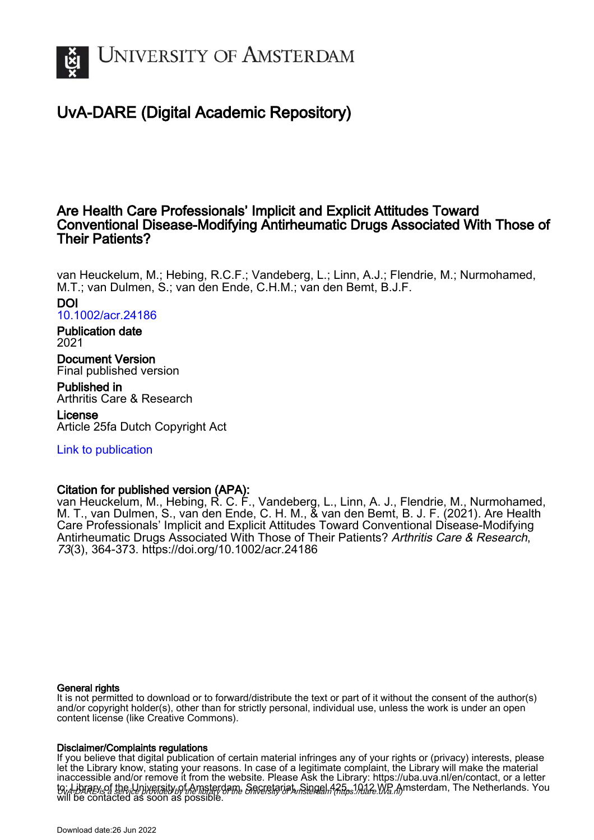

# UvA-DARE (Digital Academic Repository)

## Are Health Care Professionals' Implicit and Explicit Attitudes Toward Conventional Disease-Modifying Antirheumatic Drugs Associated With Those of Their Patients?

van Heuckelum, M.; Hebing, R.C.F.; Vandeberg, L.; Linn, A.J.; Flendrie, M.; Nurmohamed, M.T.; van Dulmen, S.; van den Ende, C.H.M.; van den Bemt, B.J.F.

#### DOI

[10.1002/acr.24186](https://doi.org/10.1002/acr.24186)

## Publication date

2021

Document Version Final published version

Published in Arthritis Care & Research

License Article 25fa Dutch Copyright Act

## [Link to publication](https://dare.uva.nl/personal/pure/en/publications/are-health-care-professionals-implicit-and-explicit-attitudes-toward-conventional-diseasemodifying-antirheumatic-drugs-associated-with-those-of-their-patients(cfad762b-1d03-4382-960a-6a305cc1efcf).html)

### Citation for published version (APA):

van Heuckelum, M., Hebing, R. C. F., Vandeberg, L., Linn, A. J., Flendrie, M., Nurmohamed, M. T., van Dulmen, S., van den Ende, C. H. M., & van den Bemt, B. J. F. (2021). Are Health Care Professionals' Implicit and Explicit Attitudes Toward Conventional Disease-Modifying Antirheumatic Drugs Associated With Those of Their Patients? Arthritis Care & Research, 73(3), 364-373.<https://doi.org/10.1002/acr.24186>

#### General rights

It is not permitted to download or to forward/distribute the text or part of it without the consent of the author(s) and/or copyright holder(s), other than for strictly personal, individual use, unless the work is under an open content license (like Creative Commons).

#### Disclaimer/Complaints regulations

UvA-DARE is a service provided by the library of the University of Amsterdam (http*s*://dare.uva.nl) If you believe that digital publication of certain material infringes any of your rights or (privacy) interests, please let the Library know, stating your reasons. In case of a legitimate complaint, the Library will make the material inaccessible and/or remove it from the website. Please Ask the Library: https://uba.uva.nl/en/contact, or a letter to: Library of the Linixersity of Amsterdam, Secretariat, Singel 425, 1012 WB Amsterdam, The Netherlands. You will be contacted as soon as possible.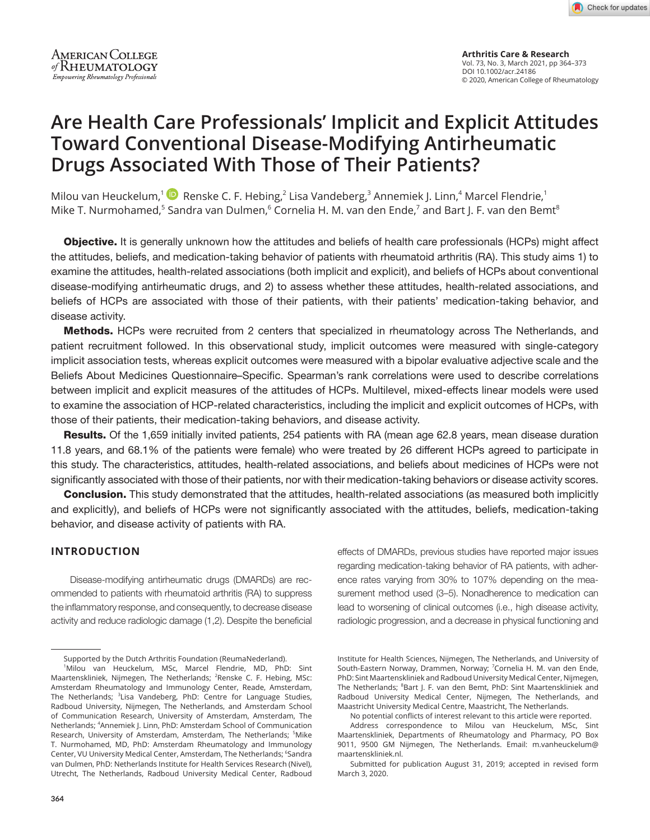**Arthritis Care & Research** Vol. 73, No. 3, March 2021, pp 364–373 DOI 10.1002/acr.24186 © 2020, American College of Rheumatology

# **Are Health Care Professionals' Implicit and Explicit Attitudes Toward Conventional Disease-Modifying Antirheumatic Drugs Associated With Those of Their Patients?**

Milou van Heuckelum,<sup>1</sup> <sup>1</sup> Renske C. F. Hebing,<sup>2</sup> Lisa Vandeberg,<sup>3</sup> Annemiek J. Linn,<sup>4</sup> Marcel Flendrie,<sup>1</sup> Mike T. Nurmohamed, $^5$  Sandra van Dulmen, $^6$  Cornelia H. M. van den Ende, $^7$  and Bart J. F. van den Bemt $^8$ 

**Objective.** It is generally unknown how the attitudes and beliefs of health care professionals (HCPs) might affect the attitudes, beliefs, and medication-taking behavior of patients with rheumatoid arthritis (RA). This study aims 1) to examine the attitudes, health-related associations (both implicit and explicit), and beliefs of HCPs about conventional disease-modifying antirheumatic drugs, and 2) to assess whether these attitudes, health-related associations, and beliefs of HCPs are associated with those of their patients, with their patients' medication-taking behavior, and disease activity.

Methods. HCPs were recruited from 2 centers that specialized in rheumatology across The Netherlands, and patient recruitment followed. In this observational study, implicit outcomes were measured with single-category implicit association tests, whereas explicit outcomes were measured with a bipolar evaluative adjective scale and the Beliefs About Medicines Questionnaire–Specific. Spearman's rank correlations were used to describe correlations between implicit and explicit measures of the attitudes of HCPs. Multilevel, mixed-effects linear models were used to examine the association of HCP-related characteristics, including the implicit and explicit outcomes of HCPs, with those of their patients, their medication-taking behaviors, and disease activity.

Results. Of the 1,659 initially invited patients, 254 patients with RA (mean age 62.8 years, mean disease duration 11.8 years, and 68.1% of the patients were female) who were treated by 26 different HCPs agreed to participate in this study. The characteristics, attitudes, health-related associations, and beliefs about medicines of HCPs were not significantly associated with those of their patients, nor with their medication-taking behaviors or disease activity scores.

**Conclusion.** This study demonstrated that the attitudes, health-related associations (as measured both implicitly and explicitly), and beliefs of HCPs were not significantly associated with the attitudes, beliefs, medication-taking behavior, and disease activity of patients with RA.

#### **INTRODUCTION**

Disease-modifying antirheumatic drugs (DMARDs) are recommended to patients with rheumatoid arthritis (RA) to suppress the inflammatory response, and consequently, to decrease disease activity and reduce radiologic damage (1,2). Despite the beneficial

effects of DMARDs, previous studies have reported major issues regarding medication-taking behavior of RA patients, with adherence rates varying from 30% to 107% depending on the measurement method used (3–5). Nonadherence to medication can lead to worsening of clinical outcomes (i.e., high disease activity, radiologic progression, and a decrease in physical functioning and

Supported by the Dutch Arthritis Foundation (ReumaNederland).

<sup>1</sup> Milou van Heuckelum, MSc, Marcel Flendrie, MD, PhD: Sint Maartenskliniek, Nijmegen, The Netherlands; <sup>2</sup>Renske C. F. Hebing, MSc: Amsterdam Rheumatology and Immunology Center, Reade, Amsterdam, The Netherlands; <sup>3</sup>Lisa Vandeberg, PhD: Centre for Language Studies, Radboud University, Nijmegen, The Netherlands, and Amsterdam School of Communication Research, University of Amsterdam, Amsterdam, The Netherlands; <sup>4</sup>Annemiek J. Linn, PhD: Amsterdam School of Communication Research, University of Amsterdam, Amsterdam, The Netherlands; <sup>5</sup>Mike T. Nurmohamed, MD, PhD: Amsterdam Rheumatology and Immunology Center, VU University Medical Center, Amsterdam, The Netherlands; <sup>6</sup>Sandra van Dulmen, PhD: Netherlands Institute for Health Services Research (Nivel), Utrecht, The Netherlands, Radboud University Medical Center, Radboud

Institute for Health Sciences, Nijmegen, The Netherlands, and University of South-Eastern Norway, Drammen, Norway; <sup>7</sup>Cornelia H. M. van den Ende, PhD: Sint Maartenskliniek and Radboud University Medical Center, Nijmegen, The Netherlands; <sup>8</sup>Bart J. F. van den Bemt, PhD: Sint Maartenskliniek and Radboud University Medical Center, Nijmegen, The Netherlands, and Maastricht University Medical Centre, Maastricht, The Netherlands.

No potential conflicts of interest relevant to this article were reported. Address correspondence to Milou van Heuckelum, MSc, Sint Maartenskliniek, Departments of Rheumatology and Pharmacy, PO Box 9011, 9500 GM Nijmegen, The Netherlands. Email: [m.vanheuckelum@](mailto:m.vanheuckelum@maartenskliniek.nl) [maartenskliniek.nl](mailto:m.vanheuckelum@maartenskliniek.nl).

Submitted for publication August 31, 2019; accepted in revised form March 3, 2020.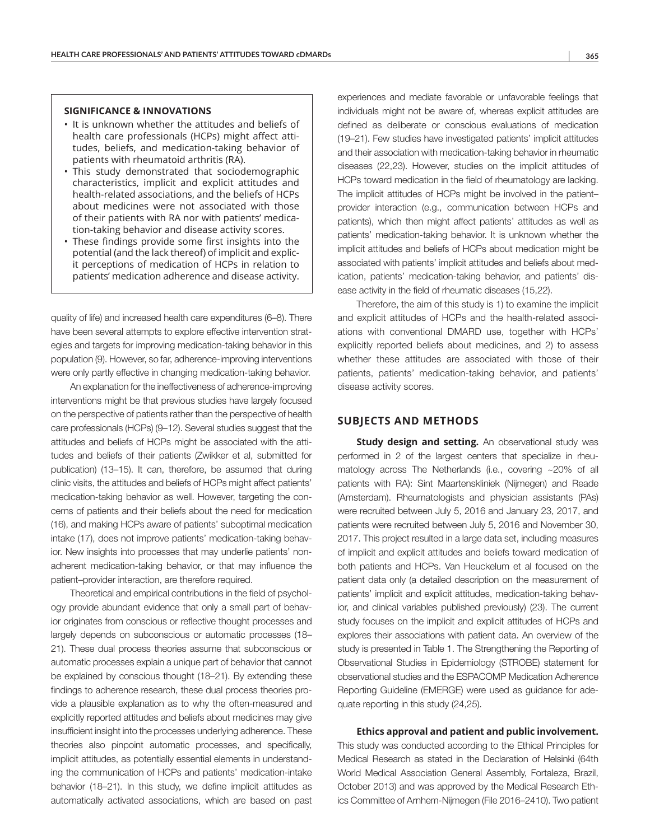#### **SIGNIFICANCE & INNOVATIONS**

- It is unknown whether the attitudes and beliefs of health care professionals (HCPs) might affect attitudes, beliefs, and medication-taking behavior of patients with rheumatoid arthritis (RA).
- This study demonstrated that sociodemographic characteristics, implicit and explicit attitudes and health-related associations, and the beliefs of HCPs about medicines were not associated with those of their patients with RA nor with patients' medication-taking behavior and disease activity scores.
- These findings provide some first insights into the potential (and the lack thereof) of implicit and explicit perceptions of medication of HCPs in relation to patients' medication adherence and disease activity.

quality of life) and increased health care expenditures (6–8). There have been several attempts to explore effective intervention strategies and targets for improving medication-taking behavior in this population (9). However, so far, adherence-improving interventions were only partly effective in changing medication-taking behavior.

An explanation for the ineffectiveness of adherence-improving interventions might be that previous studies have largely focused on the perspective of patients rather than the perspective of health care professionals (HCPs) (9–12). Several studies suggest that the attitudes and beliefs of HCPs might be associated with the attitudes and beliefs of their patients (Zwikker et al, submitted for publication) (13–15). It can, therefore, be assumed that during clinic visits, the attitudes and beliefs of HCPs might affect patients' medication-taking behavior as well. However, targeting the concerns of patients and their beliefs about the need for medication (16), and making HCPs aware of patients' suboptimal medication intake (17), does not improve patients' medication-taking behavior. New insights into processes that may underlie patients' nonadherent medication-taking behavior, or that may influence the patient–provider interaction, are therefore required.

Theoretical and empirical contributions in the field of psychology provide abundant evidence that only a small part of behavior originates from conscious or reflective thought processes and largely depends on subconscious or automatic processes (18– 21). These dual process theories assume that subconscious or automatic processes explain a unique part of behavior that cannot be explained by conscious thought (18–21). By extending these findings to adherence research, these dual process theories provide a plausible explanation as to why the often-measured and explicitly reported attitudes and beliefs about medicines may give insufficient insight into the processes underlying adherence. These theories also pinpoint automatic processes, and specifically, implicit attitudes, as potentially essential elements in understanding the communication of HCPs and patients' medication-intake behavior (18–21). In this study, we define implicit attitudes as automatically activated associations, which are based on past

experiences and mediate favorable or unfavorable feelings that individuals might not be aware of, whereas explicit attitudes are defined as deliberate or conscious evaluations of medication (19–21). Few studies have investigated patients' implicit attitudes and their association with medication-taking behavior in rheumatic diseases (22,23). However, studies on the implicit attitudes of HCPs toward medication in the field of rheumatology are lacking. The implicit attitudes of HCPs might be involved in the patient– provider interaction (e.g., communication between HCPs and patients), which then might affect patients' attitudes as well as patients' medication-taking behavior. It is unknown whether the implicit attitudes and beliefs of HCPs about medication might be associated with patients' implicit attitudes and beliefs about medication, patients' medication-taking behavior, and patients' disease activity in the field of rheumatic diseases (15,22).

Therefore, the aim of this study is 1) to examine the implicit and explicit attitudes of HCPs and the health-related associations with conventional DMARD use, together with HCPs' explicitly reported beliefs about medicines, and 2) to assess whether these attitudes are associated with those of their patients, patients' medication-taking behavior, and patients' disease activity scores.

#### **SUBJECTS AND METHODS**

**Study design and setting.** An observational study was performed in 2 of the largest centers that specialize in rheumatology across The Netherlands (i.e., covering ~20% of all patients with RA): Sint Maartenskliniek (Nijmegen) and Reade (Amsterdam). Rheumatologists and physician assistants (PAs) were recruited between July 5, 2016 and January 23, 2017, and patients were recruited between July 5, 2016 and November 30, 2017. This project resulted in a large data set, including measures of implicit and explicit attitudes and beliefs toward medication of both patients and HCPs. Van Heuckelum et al focused on the patient data only (a detailed description on the measurement of patients' implicit and explicit attitudes, medication-taking behavior, and clinical variables published previously) (23). The current study focuses on the implicit and explicit attitudes of HCPs and explores their associations with patient data. An overview of the study is presented in Table 1. The Strengthening the Reporting of Observational Studies in Epidemiology (STROBE) statement for observational studies and the ESPACOMP Medication Adherence Reporting Guideline (EMERGE) were used as guidance for adequate reporting in this study (24,25).

## **Ethics approval and patient and public involvement.**

This study was conducted according to the Ethical Principles for Medical Research as stated in the Declaration of Helsinki (64th World Medical Association General Assembly, Fortaleza, Brazil, October 2013) and was approved by the Medical Research Ethics Committee of Arnhem-Nijmegen (File 2016–2410). Two patient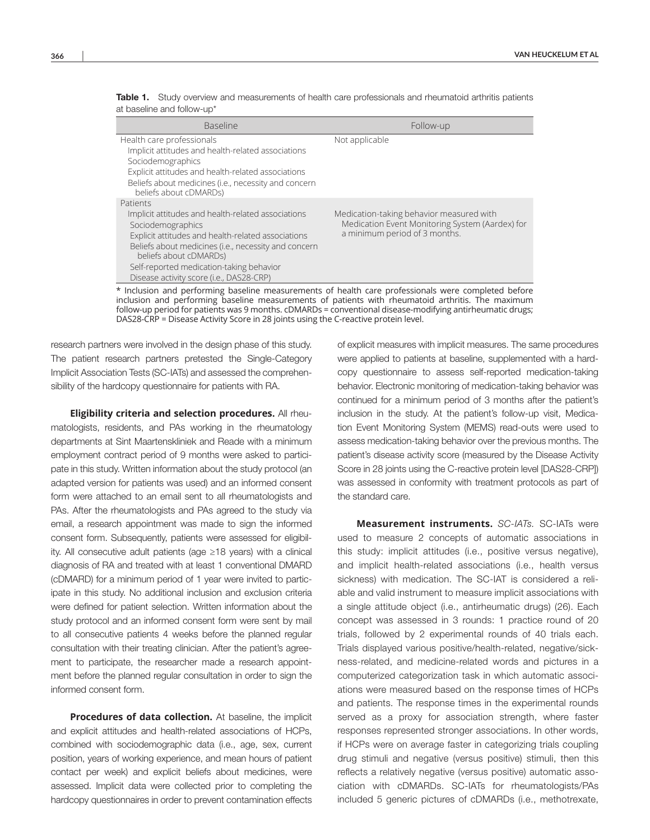| <b>Baseline</b>                                                                                                                                                                                                                                                                                                     | Follow-up                                                                                                                    |
|---------------------------------------------------------------------------------------------------------------------------------------------------------------------------------------------------------------------------------------------------------------------------------------------------------------------|------------------------------------------------------------------------------------------------------------------------------|
| Health care professionals<br>Implicit attitudes and health-related associations<br>Sociodemographics<br>Explicit attitudes and health-related associations<br>Beliefs about medicines (i.e., necessity and concern<br>beliefs about cDMARDs)                                                                        | Not applicable                                                                                                               |
| Patients<br>Implicit attitudes and health-related associations<br>Sociodemographics<br>Explicit attitudes and health-related associations<br>Beliefs about medicines (i.e., necessity and concern<br>beliefs about cDMARDs)<br>Self-reported medication-taking behavior<br>Disease activity score (i.e., DAS28-CRP) | Medication-taking behavior measured with<br>Medication Event Monitoring System (Aardex) for<br>a minimum period of 3 months. |

Table 1. Study overview and measurements of health care professionals and rheumatoid arthritis patients at baseline and follow-up\*

Inclusion and performing baseline measurements of health care professionals were completed before inclusion and performing baseline measurements of patients with rheumatoid arthritis. The maximum follow-up period for patients was 9 months. cDMARDs = conventional disease-modifying antirheumatic drugs; DAS28-CRP = Disease Activity Score in 28 joints using the C-reactive protein level.

research partners were involved in the design phase of this study. The patient research partners pretested the Single-Category Implicit Association Tests (SC-IATs) and assessed the comprehensibility of the hardcopy questionnaire for patients with RA.

**Eligibility criteria and selection procedures.** All rheumatologists, residents, and PAs working in the rheumatology departments at Sint Maartenskliniek and Reade with a minimum employment contract period of 9 months were asked to participate in this study. Written information about the study protocol (an adapted version for patients was used) and an informed consent form were attached to an email sent to all rheumatologists and PAs. After the rheumatologists and PAs agreed to the study via email, a research appointment was made to sign the informed consent form. Subsequently, patients were assessed for eligibility. All consecutive adult patients (age ≥18 years) with a clinical diagnosis of RA and treated with at least 1 conventional DMARD (cDMARD) for a minimum period of 1 year were invited to participate in this study. No additional inclusion and exclusion criteria were defined for patient selection. Written information about the study protocol and an informed consent form were sent by mail to all consecutive patients 4 weeks before the planned regular consultation with their treating clinician. After the patient's agreement to participate, the researcher made a research appointment before the planned regular consultation in order to sign the informed consent form.

**Procedures of data collection.** At baseline, the implicit and explicit attitudes and health-related associations of HCPs, combined with sociodemographic data (i.e., age, sex, current position, years of working experience, and mean hours of patient contact per week) and explicit beliefs about medicines, were assessed. Implicit data were collected prior to completing the hardcopy questionnaires in order to prevent contamination effects

of explicit measures with implicit measures. The same procedures were applied to patients at baseline, supplemented with a hardcopy questionnaire to assess self-reported medication-taking behavior. Electronic monitoring of medication-taking behavior was continued for a minimum period of 3 months after the patient's inclusion in the study. At the patient's follow-up visit, Medication Event Monitoring System (MEMS) read-outs were used to assess medication-taking behavior over the previous months. The patient's disease activity score (measured by the Disease Activity Score in 28 joints using the C-reactive protein level [DAS28-CRP]) was assessed in conformity with treatment protocols as part of the standard care.

**Measurement instruments.** *SC-IATs.* SC-IATs were used to measure 2 concepts of automatic associations in this study: implicit attitudes (i.e., positive versus negative), and implicit health-related associations (i.e., health versus sickness) with medication. The SC-IAT is considered a reliable and valid instrument to measure implicit associations with a single attitude object (i.e., antirheumatic drugs) (26). Each concept was assessed in 3 rounds: 1 practice round of 20 trials, followed by 2 experimental rounds of 40 trials each. Trials displayed various positive/health-related, negative/sickness-related, and medicine-related words and pictures in a computerized categorization task in which automatic associations were measured based on the response times of HCPs and patients. The response times in the experimental rounds served as a proxy for association strength, where faster responses represented stronger associations. In other words, if HCPs were on average faster in categorizing trials coupling drug stimuli and negative (versus positive) stimuli, then this reflects a relatively negative (versus positive) automatic association with cDMARDs. SC-IATs for rheumatologists/PAs included 5 generic pictures of cDMARDs (i.e., methotrexate,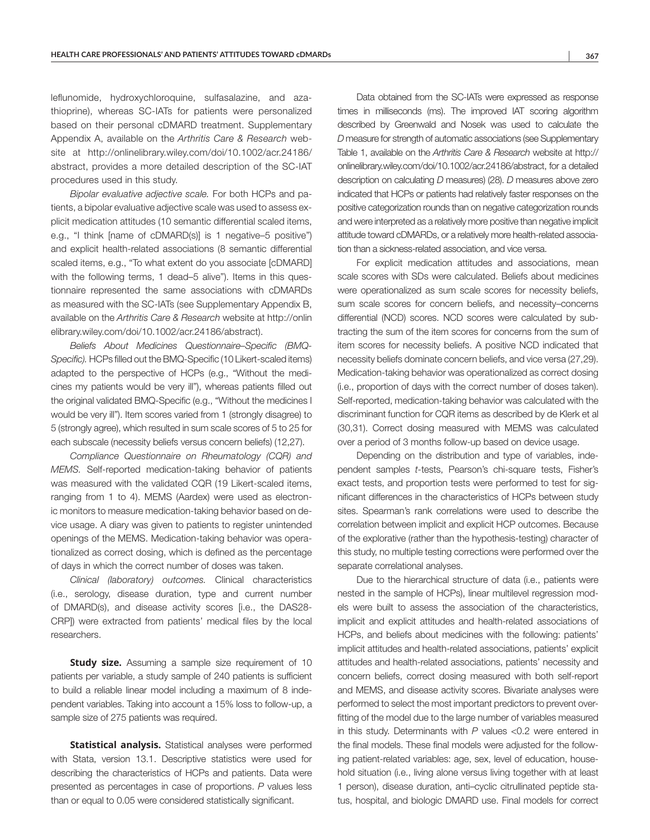leflunomide, hydroxychloroquine, sulfasalazine, and azathioprine), whereas SC-IATs for patients were personalized based on their personal cDMARD treatment. Supplementary Appendix A, available on the *Arthritis Care & Research* website at [http://onlinelibrary.wiley.com/doi/10.1002/acr.24186/](http://onlinelibrary.wiley.com/doi/10.1002/acr.24186/abstract) [abstract,](http://onlinelibrary.wiley.com/doi/10.1002/acr.24186/abstract) provides a more detailed description of the SC-IAT procedures used in this study.

*Bipolar evaluative adjective scale.* For both HCPs and patients, a bipolar evaluative adjective scale was used to assess explicit medication attitudes (10 semantic differential scaled items, e.g., "I think [name of cDMARD(s)] is 1 negative–5 positive") and explicit health-related associations (8 semantic differential scaled items, e.g., "To what extent do you associate [cDMARD] with the following terms, 1 dead–5 alive"). Items in this questionnaire represented the same associations with cDMARDs as measured with the SC-IATs (see Supplementary Appendix B, available on the *Arthritis Care & Research* website at [http://onlin](http://onlinelibrary.wiley.com/doi/10.1002/acr.24186/abstract) [elibrary.wiley.com/doi/10.1002/acr.24186/abstract](http://onlinelibrary.wiley.com/doi/10.1002/acr.24186/abstract)).

*Beliefs About Medicines Questionnaire–Specific (BMQ-Specific).* HCPs filled out the BMQ-Specific (10 Likert-scaled items) adapted to the perspective of HCPs (e.g., "Without the medicines my patients would be very ill"), whereas patients filled out the original validated BMQ-Specific (e.g., "Without the medicines I would be very ill"). Item scores varied from 1 (strongly disagree) to 5 (strongly agree), which resulted in sum scale scores of 5 to 25 for each subscale (necessity beliefs versus concern beliefs) (12,27).

*Compliance Questionnaire on Rheumatology (CQR) and MEMS.* Self-reported medication-taking behavior of patients was measured with the validated CQR (19 Likert-scaled items, ranging from 1 to 4). MEMS (Aardex) were used as electronic monitors to measure medication-taking behavior based on device usage. A diary was given to patients to register unintended openings of the MEMS. Medication-taking behavior was operationalized as correct dosing, which is defined as the percentage of days in which the correct number of doses was taken.

*Clinical (laboratory) outcomes.* Clinical characteristics (i.e., serology, disease duration, type and current number of DMARD(s), and disease activity scores [i.e., the DAS28- CRP]) were extracted from patients' medical files by the local researchers.

**Study size.** Assuming a sample size requirement of 10 patients per variable, a study sample of 240 patients is sufficient to build a reliable linear model including a maximum of 8 independent variables. Taking into account a 15% loss to follow-up, a sample size of 275 patients was required.

**Statistical analysis.** Statistical analyses were performed with Stata, version 13.1. Descriptive statistics were used for describing the characteristics of HCPs and patients. Data were presented as percentages in case of proportions. *P* values less than or equal to 0.05 were considered statistically significant.

Data obtained from the SC-IATs were expressed as response times in milliseconds (ms). The improved IAT scoring algorithm described by Greenwald and Nosek was used to calculate the *D* measure for strength of automatic associations (see Supplementary Table 1, available on the *Arthritis Care & Research* website at [http://](http://onlinelibrary.wiley.com/doi/10.1002/acr.24186/abstract) [onlinelibrary.wiley.com/doi/10.1002/acr.24186/abstract,](http://onlinelibrary.wiley.com/doi/10.1002/acr.24186/abstract) for a detailed description on calculating *D* measures) (28). *D* measures above zero indicated that HCPs or patients had relatively faster responses on the positive categorization rounds than on negative categorization rounds and were interpreted as a relatively more positive than negative implicit attitude toward cDMARDs, or a relatively more health-related association than a sickness-related association, and vice versa.

For explicit medication attitudes and associations, mean scale scores with SDs were calculated. Beliefs about medicines were operationalized as sum scale scores for necessity beliefs, sum scale scores for concern beliefs, and necessity–concerns differential (NCD) scores. NCD scores were calculated by subtracting the sum of the item scores for concerns from the sum of item scores for necessity beliefs. A positive NCD indicated that necessity beliefs dominate concern beliefs, and vice versa (27,29). Medication-taking behavior was operationalized as correct dosing (i.e., proportion of days with the correct number of doses taken). Self-reported, medication-taking behavior was calculated with the discriminant function for CQR items as described by de Klerk et al (30,31). Correct dosing measured with MEMS was calculated over a period of 3 months follow-up based on device usage.

Depending on the distribution and type of variables, independent samples *t-*tests, Pearson's chi-square tests, Fisher's exact tests, and proportion tests were performed to test for significant differences in the characteristics of HCPs between study sites. Spearman's rank correlations were used to describe the correlation between implicit and explicit HCP outcomes. Because of the explorative (rather than the hypothesis-testing) character of this study, no multiple testing corrections were performed over the separate correlational analyses.

Due to the hierarchical structure of data (i.e., patients were nested in the sample of HCPs), linear multilevel regression models were built to assess the association of the characteristics, implicit and explicit attitudes and health-related associations of HCPs, and beliefs about medicines with the following: patients' implicit attitudes and health-related associations, patients' explicit attitudes and health-related associations, patients' necessity and concern beliefs, correct dosing measured with both self-report and MEMS, and disease activity scores. Bivariate analyses were performed to select the most important predictors to prevent overfitting of the model due to the large number of variables measured in this study. Determinants with *P* values <0.2 were entered in the final models. These final models were adjusted for the following patient-related variables: age, sex, level of education, household situation (i.e., living alone versus living together with at least 1 person), disease duration, anti–cyclic citrullinated peptide status, hospital, and biologic DMARD use. Final models for correct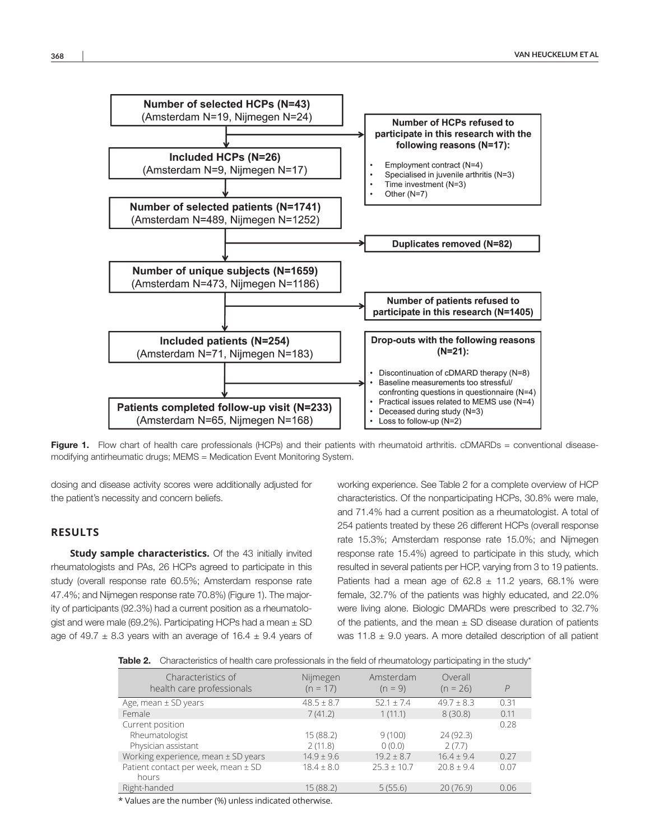

Figure 1. Flow chart of health care professionals (HCPs) and their patients with rheumatoid arthritis. cDMARDs = conventional diseasemodifying antirheumatic drugs; MEMS = Medication Event Monitoring System.

dosing and disease activity scores were additionally adjusted for the patient's necessity and concern beliefs.

#### **RESULTS**

**Study sample characteristics.** Of the 43 initially invited rheumatologists and PAs, 26 HCPs agreed to participate in this study (overall response rate 60.5%; Amsterdam response rate 47.4%; and Nijmegen response rate 70.8%) (Figure 1). The majority of participants (92.3%) had a current position as a rheumatologist and were male (69.2%). Participating HCPs had a mean  $\pm$  SD age of 49.7  $\pm$  8.3 years with an average of 16.4  $\pm$  9.4 years of working experience. See Table 2 for a complete overview of HCP characteristics. Of the nonparticipating HCPs, 30.8% were male, and 71.4% had a current position as a rheumatologist. A total of 254 patients treated by these 26 different HCPs (overall response rate 15.3%; Amsterdam response rate 15.0%; and Nijmegen response rate 15.4%) agreed to participate in this study, which resulted in several patients per HCP, varying from 3 to 19 patients. Patients had a mean age of  $62.8 \pm 11.2$  years, 68.1% were female, 32.7% of the patients was highly educated, and 22.0% were living alone. Biologic DMARDs were prescribed to 32.7% of the patients, and the mean  $\pm$  SD disease duration of patients was 11.8  $\pm$  9.0 years. A more detailed description of all patient

Table 2. Characteristics of health care professionals in the field of rheumatology participating in the study\*

| Characteristics of<br>health care professionals           | Nijmegen<br>$(n = 17)$ | Amsterdam<br>$(n = 9)$ | Overall<br>$(n = 26)$ | $\overline{P}$ |
|-----------------------------------------------------------|------------------------|------------------------|-----------------------|----------------|
| Age, mean $\pm$ SD years                                  | $48.5 \pm 8.7$         | $52.1 + 7.4$           | $49.7 \pm 8.3$        | 0.31           |
| Female                                                    | 7(41.2)                | 1(11.1)                | 8(30.8)               | 0.11           |
| Current position<br>Rheumatologist<br>Physician assistant | 15(88.2)<br>2(11.8)    | 9(100)<br>0(0.0)       | 24(92.3)<br>2(7.7)    | 0.28           |
| Working experience, mean ± SD years                       | $14.9 \pm 9.6$         | $19.2 \pm 8.7$         | $16.4 \pm 9.4$        | 0.27           |
| Patient contact per week, mean ± SD<br>hours              | $18.4 \pm 8.0$         | $25.3 + 10.7$          | $20.8 \pm 9.4$        | 0.07           |
| Right-handed                                              | 15(88.2)               | 5(55.6)                | 20(76.9)              | 0.06           |

\* Values are the number (%) unless indicated otherwise.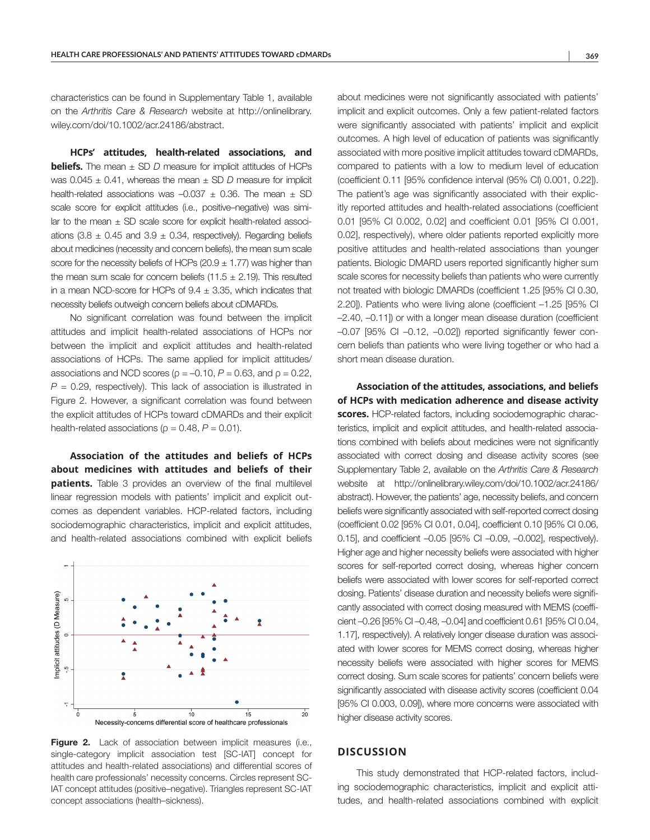characteristics can be found in Supplementary Table 1, available on the *Arthritis Care & Research* website at [http://onlinelibrary.](http://onlinelibrary.wiley.com/doi/10.1002/acr.24186/abstract) [wiley.com/doi/10.1002/acr.24186/abstract.](http://onlinelibrary.wiley.com/doi/10.1002/acr.24186/abstract)

**HCPs' attitudes, health-related associations, and beliefs.** The mean  $\pm$  SD *D* measure for implicit attitudes of HCPs was 0.045 ± 0.41, whereas the mean ± SD *D* measure for implicit health-related associations was  $-0.037 \pm 0.36$ . The mean  $\pm$  SD scale score for explicit attitudes (i.e., positive–negative) was similar to the mean  $\pm$  SD scale score for explicit health-related associations  $(3.8 \pm 0.45$  and  $3.9 \pm 0.34$ . respectively). Regarding beliefs about medicines (necessity and concern beliefs), the mean sum scale score for the necessity beliefs of HCPs (20.9  $\pm$  1.77) was higher than the mean sum scale for concern beliefs (11.5  $\pm$  2.19). This resulted in a mean NCD-score for HCPs of  $9.4 \pm 3.35$ , which indicates that necessity beliefs outweigh concern beliefs about cDMARDs.

No significant correlation was found between the implicit attitudes and implicit health-related associations of HCPs nor between the implicit and explicit attitudes and health-related associations of HCPs. The same applied for implicit attitudes/ associations and NCD scores ( $\rho = -0.10$ ,  $P = 0.63$ , and  $\rho = 0.22$ ,  $P = 0.29$ , respectively). This lack of association is illustrated in Figure 2. However, a significant correlation was found between the explicit attitudes of HCPs toward cDMARDs and their explicit health-related associations ( $\rho = 0.48$ ,  $P = 0.01$ ).

**Association of the attitudes and beliefs of HCPs about medicines with attitudes and beliefs of their patients.** Table 3 provides an overview of the final multilevel linear regression models with patients' implicit and explicit outcomes as dependent variables. HCP-related factors, including sociodemographic characteristics, implicit and explicit attitudes, and health-related associations combined with explicit beliefs



Figure 2. Lack of association between implicit measures (i.e., single-category implicit association test [SC-IAT] concept for attitudes and health-related associations) and differential scores of health care professionals' necessity concerns. Circles represent SC-IAT concept attitudes (positive–negative). Triangles represent SC-IAT concept associations (health–sickness).

about medicines were not significantly associated with patients' implicit and explicit outcomes. Only a few patient-related factors were significantly associated with patients' implicit and explicit outcomes. A high level of education of patients was significantly associated with more positive implicit attitudes toward cDMARDs, compared to patients with a low to medium level of education (coefficient 0.11 [95% confidence interval (95% CI) 0.001, 0.22]). The patient's age was significantly associated with their explicitly reported attitudes and health-related associations (coefficient 0.01 [95% CI 0.002, 0.02] and coefficient 0.01 [95% CI 0.001, 0.02], respectively), where older patients reported explicitly more positive attitudes and health-related associations than younger patients. Biologic DMARD users reported significantly higher sum scale scores for necessity beliefs than patients who were currently not treated with biologic DMARDs (coefficient 1.25 [95% CI 0.30, 2.20]). Patients who were living alone (coefficient –1.25 [95% CI –2.40, –0.11]) or with a longer mean disease duration (coefficient –0.07 [95% CI –0.12, –0.02]) reported significantly fewer concern beliefs than patients who were living together or who had a short mean disease duration.

**Association of the attitudes, associations, and beliefs of HCPs with medication adherence and disease activity scores.** HCP-related factors, including sociodemographic characteristics, implicit and explicit attitudes, and health-related associations combined with beliefs about medicines were not significantly associated with correct dosing and disease activity scores (see Supplementary Table 2, available on the *Arthritis Care & Research* website at [http://onlinelibrary.wiley.com/doi/10.1002/acr.24186/](http://onlinelibrary.wiley.com/doi/10.1002/acr.24186/abstract) [abstract\)](http://onlinelibrary.wiley.com/doi/10.1002/acr.24186/abstract). However, the patients' age, necessity beliefs, and concern beliefs were significantly associated with self-reported correct dosing (coefficient 0.02 [95% CI 0.01, 0.04], coefficient 0.10 [95% CI 0.06, 0.15], and coefficient –0.05 [95% CI –0.09, –0.002], respectively). Higher age and higher necessity beliefs were associated with higher scores for self-reported correct dosing, whereas higher concern beliefs were associated with lower scores for self-reported correct dosing. Patients' disease duration and necessity beliefs were significantly associated with correct dosing measured with MEMS (coefficient –0.26 [95% CI –0.48, –0.04] and coefficient 0.61 [95% CI 0.04, 1.17], respectively). A relatively longer disease duration was associated with lower scores for MEMS correct dosing, whereas higher necessity beliefs were associated with higher scores for MEMS correct dosing. Sum scale scores for patients' concern beliefs were significantly associated with disease activity scores (coefficient 0.04 [95% CI 0.003, 0.09]), where more concerns were associated with higher disease activity scores.

#### **DISCUSSION**

This study demonstrated that HCP-related factors, including sociodemographic characteristics, implicit and explicit attitudes, and health-related associations combined with explicit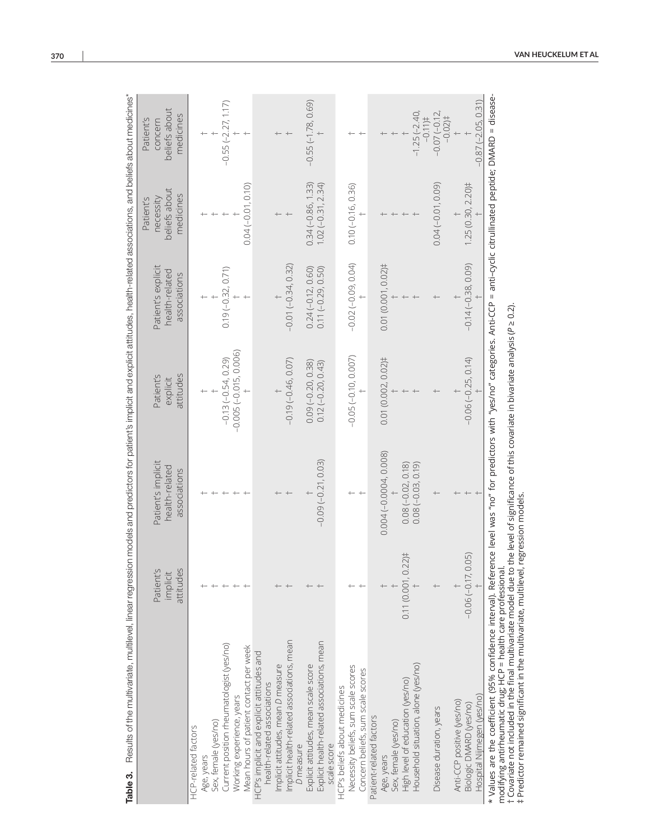| Table 3. Results of the multilevel, linear regression models and predictors for patient's implicit and explicit attitudes, health-related associations, and beliefs about medicines*                                                                                                                                                                                                                      |                                    |                                                      |                                    |                                                      |                                                      |                                                    |
|-----------------------------------------------------------------------------------------------------------------------------------------------------------------------------------------------------------------------------------------------------------------------------------------------------------------------------------------------------------------------------------------------------------|------------------------------------|------------------------------------------------------|------------------------------------|------------------------------------------------------|------------------------------------------------------|----------------------------------------------------|
|                                                                                                                                                                                                                                                                                                                                                                                                           | Patient's<br>attitudes<br>implicit | Patient's implicit<br>health-related<br>associations | attitudes<br>Patient's<br>explicit | Patient's explicit<br>health-related<br>associations | beliefs about<br>medicines<br>necessity<br>Patient's | beliefs about<br>medicines<br>Patient's<br>concern |
| HCP-related factors                                                                                                                                                                                                                                                                                                                                                                                       |                                    |                                                      |                                    |                                                      |                                                      |                                                    |
| Age, years                                                                                                                                                                                                                                                                                                                                                                                                |                                    |                                                      |                                    |                                                      |                                                      |                                                    |
| Sex, female (yes/no)                                                                                                                                                                                                                                                                                                                                                                                      |                                    |                                                      |                                    |                                                      |                                                      |                                                    |
| Current position rheumatologist (yes/no)                                                                                                                                                                                                                                                                                                                                                                  |                                    |                                                      | $-0.13(-0.54, 0.29)$               | $0.19(-0.32, 0.71)$                                  |                                                      | $-0.55(-2.27, 1.17)$                               |
| Working experience, years                                                                                                                                                                                                                                                                                                                                                                                 |                                    |                                                      | $-0.005(-0.015, 0.006)$            |                                                      |                                                      |                                                    |
| Mean hours of patient contact per week                                                                                                                                                                                                                                                                                                                                                                    |                                    |                                                      |                                    |                                                      | $0.04(-0.01, 0.10)$                                  |                                                    |
| HCP's implicit and explicit attitudes and<br>health-related associations                                                                                                                                                                                                                                                                                                                                  |                                    |                                                      |                                    |                                                      |                                                      |                                                    |
| Implicit attitudes, mean D measure                                                                                                                                                                                                                                                                                                                                                                        |                                    |                                                      |                                    |                                                      |                                                      |                                                    |
| Implicit health-related associations, mean<br>D measure                                                                                                                                                                                                                                                                                                                                                   |                                    |                                                      | $-0.19(-0.46, 0.07)$               | $-0.01(-0.34, 0.32)$                                 |                                                      |                                                    |
|                                                                                                                                                                                                                                                                                                                                                                                                           |                                    |                                                      |                                    |                                                      |                                                      |                                                    |
| Explicit attitudes, mean scale score                                                                                                                                                                                                                                                                                                                                                                      |                                    |                                                      | $0.09(-0.20, 0.38)$                | $0.24(-0.12, 0.60)$                                  | $0.34(-0.86, 1.33)$                                  | $-0.55(-1.78, 0.69)$                               |
| Explicit health-related associations, mean<br>scale score                                                                                                                                                                                                                                                                                                                                                 |                                    | $-0.09(-0.21, 0.03)$                                 | $0.12(-0.20, 0.43)$                | $0.11 (-0.29, 0.50)$                                 | $1.02(-0.31, 2.34)$                                  |                                                    |
| HCP's beliefs about medicines                                                                                                                                                                                                                                                                                                                                                                             |                                    |                                                      |                                    |                                                      |                                                      |                                                    |
| Necessity beliefs, sum scale scores                                                                                                                                                                                                                                                                                                                                                                       |                                    |                                                      | $-0.05(-0.10, 0.007)$              | $-0.02(-0.09, 0.04)$                                 | $0.10 (-0.16, 0.36)$                                 |                                                    |
| Concern beliefs, sum scale scores                                                                                                                                                                                                                                                                                                                                                                         |                                    |                                                      |                                    |                                                      |                                                      |                                                    |
| Patient-related factors                                                                                                                                                                                                                                                                                                                                                                                   |                                    |                                                      |                                    |                                                      |                                                      |                                                    |
| Age, years                                                                                                                                                                                                                                                                                                                                                                                                |                                    | 0.004 (-0.0004, 0.008)                               | 0.01 (0.002, 0.02)#                | 0.01 (0.001, 0.02)#                                  |                                                      |                                                    |
| Sex, female (yes/no)                                                                                                                                                                                                                                                                                                                                                                                      |                                    |                                                      |                                    |                                                      |                                                      |                                                    |
| High level of education (yes/no)                                                                                                                                                                                                                                                                                                                                                                          | 0.11 (0.001, 0.22)#                | $0.08 (-0.02, 0.18)$<br>$0.08 (-0.03, 0.19)$         |                                    |                                                      |                                                      |                                                    |
| Household situation, alone (yes/no)                                                                                                                                                                                                                                                                                                                                                                       |                                    |                                                      |                                    |                                                      |                                                      | $-1.25(-2.40)$<br>$-0.11$                          |
| Disease duration, years                                                                                                                                                                                                                                                                                                                                                                                   |                                    |                                                      |                                    |                                                      | $0.04(-0.01, 0.09)$                                  | $-0.07(-0.12,$<br>$-0.02$ )‡                       |
| Anti-CCP positive (yes/no)                                                                                                                                                                                                                                                                                                                                                                                |                                    |                                                      |                                    |                                                      |                                                      |                                                    |
| Biologic DMARD (yes/no)                                                                                                                                                                                                                                                                                                                                                                                   | (05)<br>$-0.06(-0.17, 0)$          |                                                      | $-0.06(-0.25, 0.14)$               | $-0.14(-0.38, 0.09)$                                 | $1.25(0.30, 2.20)$ #                                 |                                                    |
| Hospital Nijmegen (yes/no)                                                                                                                                                                                                                                                                                                                                                                                |                                    |                                                      |                                    |                                                      |                                                      | $-0.87$ $(-2.05, 0.31)$                            |
| * Values are the coefficient (95% confidence interval). Reference level was "no" for predictors with "yes/no" categories. Anti-CCP = anti-cyclic citrullinated peptide; DMARD = disease-<br>t Covariate not included in the final multivariate model due to the level of significance of this covariate in bivariate analysis (P ≥ 0.2).<br>modifying antirheumatic drug; HCP = health care professional. |                                    |                                                      |                                    |                                                      |                                                      |                                                    |
| # Predictor remained significant in the multivariate, multilevel, regression models.                                                                                                                                                                                                                                                                                                                      |                                    |                                                      |                                    |                                                      |                                                      |                                                    |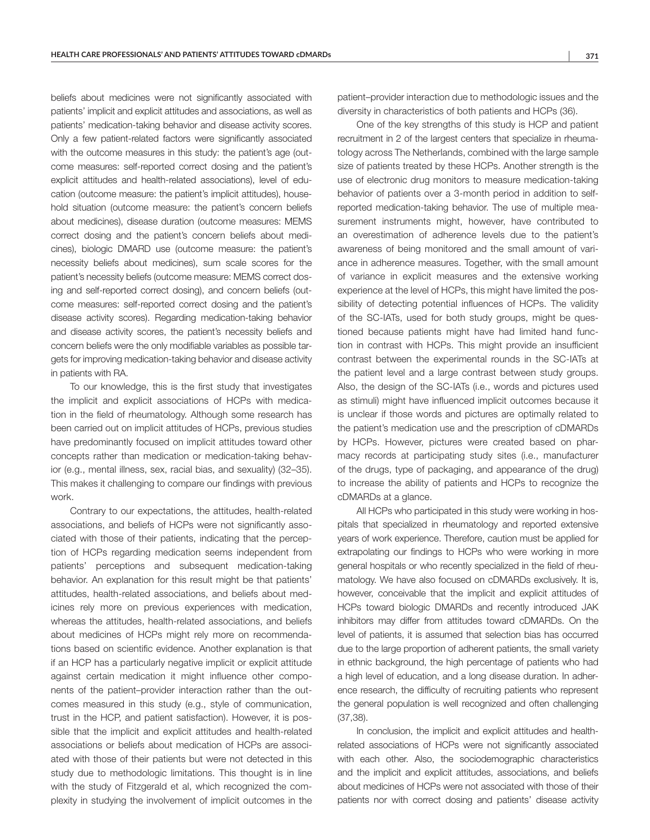beliefs about medicines were not significantly associated with patients' implicit and explicit attitudes and associations, as well as patients' medication-taking behavior and disease activity scores. Only a few patient-related factors were significantly associated with the outcome measures in this study: the patient's age (outcome measures: self-reported correct dosing and the patient's explicit attitudes and health-related associations), level of education (outcome measure: the patient's implicit attitudes), household situation (outcome measure: the patient's concern beliefs about medicines), disease duration (outcome measures: MEMS correct dosing and the patient's concern beliefs about medicines), biologic DMARD use (outcome measure: the patient's necessity beliefs about medicines), sum scale scores for the patient's necessity beliefs (outcome measure: MEMS correct dosing and self-reported correct dosing), and concern beliefs (outcome measures: self-reported correct dosing and the patient's disease activity scores). Regarding medication-taking behavior and disease activity scores, the patient's necessity beliefs and concern beliefs were the only modifiable variables as possible targets for improving medication-taking behavior and disease activity in patients with RA.

To our knowledge, this is the first study that investigates the implicit and explicit associations of HCPs with medication in the field of rheumatology. Although some research has been carried out on implicit attitudes of HCPs, previous studies have predominantly focused on implicit attitudes toward other concepts rather than medication or medication-taking behavior (e.g., mental illness, sex, racial bias, and sexuality) (32–35). This makes it challenging to compare our findings with previous work.

Contrary to our expectations, the attitudes, health-related associations, and beliefs of HCPs were not significantly associated with those of their patients, indicating that the perception of HCPs regarding medication seems independent from patients' perceptions and subsequent medication-taking behavior. An explanation for this result might be that patients' attitudes, health-related associations, and beliefs about medicines rely more on previous experiences with medication, whereas the attitudes, health-related associations, and beliefs about medicines of HCPs might rely more on recommendations based on scientific evidence. Another explanation is that if an HCP has a particularly negative implicit or explicit attitude against certain medication it might influence other components of the patient–provider interaction rather than the outcomes measured in this study (e.g., style of communication, trust in the HCP, and patient satisfaction). However, it is possible that the implicit and explicit attitudes and health-related associations or beliefs about medication of HCPs are associated with those of their patients but were not detected in this study due to methodologic limitations. This thought is in line with the study of Fitzgerald et al, which recognized the complexity in studying the involvement of implicit outcomes in the

patient–provider interaction due to methodologic issues and the diversity in characteristics of both patients and HCPs (36).

One of the key strengths of this study is HCP and patient recruitment in 2 of the largest centers that specialize in rheumatology across The Netherlands, combined with the large sample size of patients treated by these HCPs. Another strength is the use of electronic drug monitors to measure medication-taking behavior of patients over a 3-month period in addition to selfreported medication-taking behavior. The use of multiple measurement instruments might, however, have contributed to an overestimation of adherence levels due to the patient's awareness of being monitored and the small amount of variance in adherence measures. Together, with the small amount of variance in explicit measures and the extensive working experience at the level of HCPs, this might have limited the possibility of detecting potential influences of HCPs. The validity of the SC-IATs, used for both study groups, might be questioned because patients might have had limited hand function in contrast with HCPs. This might provide an insufficient contrast between the experimental rounds in the SC-IATs at the patient level and a large contrast between study groups. Also, the design of the SC-IATs (i.e., words and pictures used as stimuli) might have influenced implicit outcomes because it is unclear if those words and pictures are optimally related to the patient's medication use and the prescription of cDMARDs by HCPs. However, pictures were created based on pharmacy records at participating study sites (i.e., manufacturer of the drugs, type of packaging, and appearance of the drug) to increase the ability of patients and HCPs to recognize the cDMARDs at a glance.

All HCPs who participated in this study were working in hospitals that specialized in rheumatology and reported extensive years of work experience. Therefore, caution must be applied for extrapolating our findings to HCPs who were working in more general hospitals or who recently specialized in the field of rheumatology. We have also focused on cDMARDs exclusively. It is, however, conceivable that the implicit and explicit attitudes of HCPs toward biologic DMARDs and recently introduced JAK inhibitors may differ from attitudes toward cDMARDs. On the level of patients, it is assumed that selection bias has occurred due to the large proportion of adherent patients, the small variety in ethnic background, the high percentage of patients who had a high level of education, and a long disease duration. In adherence research, the difficulty of recruiting patients who represent the general population is well recognized and often challenging (37,38).

In conclusion, the implicit and explicit attitudes and healthrelated associations of HCPs were not significantly associated with each other. Also, the sociodemographic characteristics and the implicit and explicit attitudes, associations, and beliefs about medicines of HCPs were not associated with those of their patients nor with correct dosing and patients' disease activity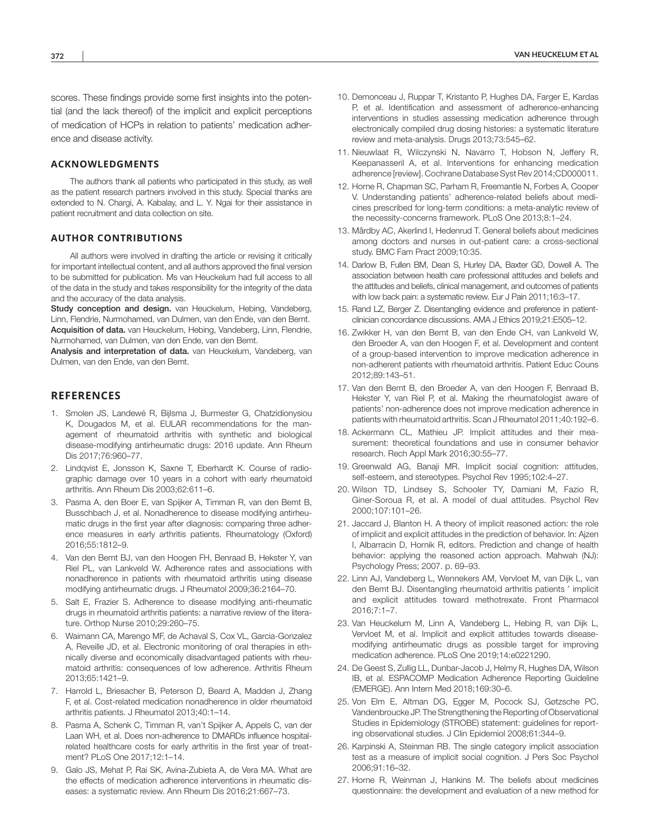scores. These findings provide some first insights into the potential (and the lack thereof) of the implicit and explicit perceptions of medication of HCPs in relation to patients' medication adherence and disease activity.

#### **ACKNOWLEDGMENTS**

The authors thank all patients who participated in this study, as well as the patient research partners involved in this study. Special thanks are extended to N. Chargi, A. Kabalay, and L. Y. Ngai for their assistance in patient recruitment and data collection on site.

#### **AUTHOR CONTRIBUTIONS**

All authors were involved in drafting the article or revising it critically for important intellectual content, and all authors approved the final version to be submitted for publication. Ms van Heuckelum had full access to all of the data in the study and takes responsibility for the integrity of the data and the accuracy of the data analysis.

Study conception and design. van Heuckelum, Hebing, Vandeberg, Linn, Flendrie, Nurmohamed, van Dulmen, van den Ende, van den Bemt. Acquisition of data. van Heuckelum, Hebing, Vandeberg, Linn, Flendrie, Nurmohamed, van Dulmen, van den Ende, van den Bemt.

Analysis and interpretation of data. van Heuckelum, Vandeberg, van Dulmen, van den Ende, van den Bemt.

#### **REFERENCES**

- 1. Smolen JS, Landewé R, Bijlsma J, Burmester G, Chatzidionysiou K, Dougados M, et al. EULAR recommendations for the management of rheumatoid arthritis with synthetic and biological disease-modifying antirheumatic drugs: 2016 update. Ann Rheum Dis 2017;76:960–77.
- 2. Lindqvist E, Jonsson K, Saxne T, Eberhardt K. Course of radiographic damage over 10 years in a cohort with early rheumatoid arthritis. Ann Rheum Dis 2003;62:611–6.
- 3. Pasma A, den Boer E, van Spijker A, Timman R, van den Bemt B, Busschbach J, et al. Nonadherence to disease modifying antirheumatic drugs in the first year after diagnosis: comparing three adherence measures in early arthritis patients. Rheumatology (Oxford) 2016;55:1812–9.
- 4. Van den Bemt BJ, van den Hoogen FH, Benraad B, Hekster Y, van Riel PL, van Lankveld W. Adherence rates and associations with nonadherence in patients with rheumatoid arthritis using disease modifying antirheumatic drugs. J Rheumatol 2009;36:2164–70.
- 5. Salt E, Frazier S. Adherence to disease modifying anti-rheumatic drugs in rheumatoid arthritis patients: a narrative review of the literature. Orthop Nurse 2010;29:260–75.
- 6. Waimann CA, Marengo MF, de Achaval S, Cox VL, Garcia-Gonzalez A, Reveille JD, et al. Electronic monitoring of oral therapies in ethnically diverse and economically disadvantaged patients with rheumatoid arthritis: consequences of low adherence. Arthritis Rheum 2013;65:1421–9.
- 7. Harrold L, Briesacher B, Peterson D, Beard A, Madden J, Zhang F, et al. Cost-related medication nonadherence in older rheumatoid arthritis patients. J Rheumatol 2013;40:1–14.
- 8. Pasma A, Schenk C, Timman R, van't Spijker A, Appels C, van der Laan WH, et al. Does non-adherence to DMARDs influence hospitalrelated healthcare costs for early arthritis in the first year of treatment? PLoS One 2017;12:1–14.
- 9. Galo JS, Mehat P, Rai SK, Avina-Zubieta A, de Vera MA. What are the effects of medication adherence interventions in rheumatic diseases: a systematic review. Ann Rheum Dis 2016;21:667–73.
- 10. Demonceau J, Ruppar T, Kristanto P, Hughes DA, Farger E, Kardas P, et al. Identification and assessment of adherence-enhancing interventions in studies assessing medication adherence through electronically compiled drug dosing histories: a systematic literature review and meta-analysis. Drugs 2013;73:545–62.
- 11. Nieuwlaat R, Wilczynski N, Navarro T, Hobson N, Jeffery R, Keepanasseril A, et al. Interventions for enhancing medication adherence [review]. Cochrane Database Syst Rev 2014;CD000011.
- 12. Horne R, Chapman SC, Parham R, Freemantle N, Forbes A, Cooper V. Understanding patients' adherence-related beliefs about medicines prescribed for long-term conditions: a meta-analytic review of the necessity-concerns framework. PLoS One 2013;8:1–24.
- 13. Mårdby AC, Akerlind I, Hedenrud T. General beliefs about medicines among doctors and nurses in out-patient care: a cross-sectional study. BMC Fam Pract 2009;10:35.
- 14. Darlow B, Fullen BM, Dean S, Hurley DA, Baxter GD, Dowell A. The association between health care professional attitudes and beliefs and the attitudes and beliefs, clinical management, and outcomes of patients with low back pain: a systematic review. Eur J Pain 2011;16:3–17.
- 15. Rand LZ, Berger Z. Disentangling evidence and preference in patientclinician concordance discussions. AMA J Ethics 2019;21:E505–12.
- 16. Zwikker H, van den Bemt B, van den Ende CH, van Lankveld W, den Broeder A, van den Hoogen F, et al. Development and content of a group-based intervention to improve medication adherence in non-adherent patients with rheumatoid arthritis. Patient Educ Couns 2012;89:143–51.
- 17. Van den Bemt B, den Broeder A, van den Hoogen F, Benraad B, Hekster Y, van Riel P, et al. Making the rheumatologist aware of patients' non-adherence does not improve medication adherence in patients with rheumatoid arthritis. Scan J Rheumatol 2011;40:192–6.
- 18. Ackermann CL, Mathieu JP. Implicit attitudes and their measurement: theoretical foundations and use in consumer behavior research. Rech Appl Mark 2016;30:55–77.
- 19. Greenwald AG, Banaji MR. Implicit social cognition: attitudes, self-esteem, and stereotypes. Psychol Rev 1995;102:4–27.
- 20. Wilson TD, Lindsey S, Schooler TY, Damiani M, Fazio R, Giner-Soroua R, et al. A model of dual attitudes. Psychol Rev 2000;107:101–26.
- 21. Jaccard J, Blanton H. A theory of implicit reasoned action: the role of implicit and explicit attitudes in the prediction of behavior. In: Ajzen I, Albarracin D, Hornik R, editors. Prediction and change of health behavior: applying the reasoned action approach. Mahwah (NJ): Psychology Press; 2007. p. 69–93.
- 22. Linn AJ, Vandeberg L, Wennekers AM, Vervloet M, van Dijk L, van den Bemt BJ. Disentangling rheumatoid arthritis patients ' implicit and explicit attitudes toward methotrexate. Front Pharmacol 2016;7:1–7.
- 23. Van Heuckelum M, Linn A, Vandeberg L, Hebing R, van Dijk L, Vervloet M, et al. Implicit and explicit attitudes towards diseasemodifying antirheumatic drugs as possible target for improving medication adherence. PLoS One 2019;14:e0221290.
- 24. De Geest S, Zullig LL, Dunbar-Jacob J, Helmy R, Hughes DA, Wilson IB, et al. ESPACOMP Medication Adherence Reporting Guideline (EMERGE). Ann Intern Med 2018;169:30–6.
- 25. Von Elm E, Altman DG, Egger M, Pocock SJ, Gøtzsche PC, Vandenbroucke JP. The Strengthening the Reporting of Observational Studies in Epidemiology (STROBE) statement: guidelines for reporting observational studies. J Clin Epidemiol 2008;61:344–9.
- 26. Karpinski A, Steinman RB. The single category implicit association test as a measure of implicit social cognition. J Pers Soc Psychol 2006;91:16–32.
- 27. Horne R, Weinman J, Hankins M. The beliefs about medicines questionnaire: the development and evaluation of a new method for